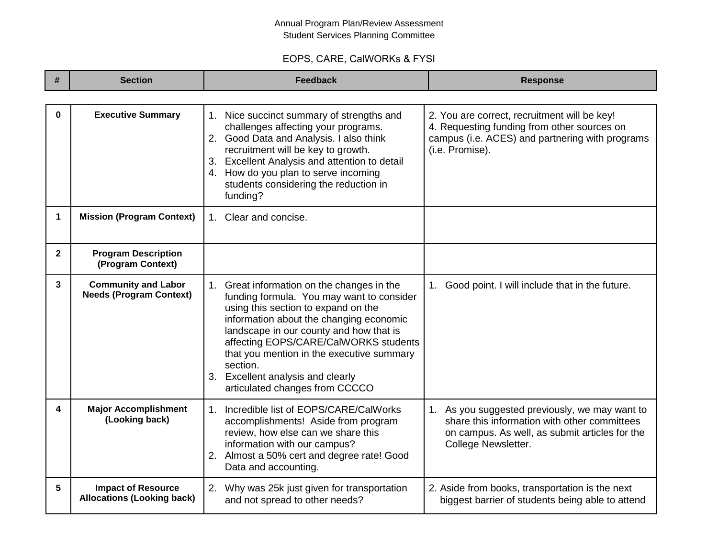## Annual Program Plan/Review Assessment Student Services Planning Committee

## EOPS, CARE, CalWORKs & FYSI

| #            | <b>Section</b>                                                 | <b>Feedback</b>                                                                                                                                                                                                                                                                                                                                                                               | <b>Response</b>                                                                                                                                                         |
|--------------|----------------------------------------------------------------|-----------------------------------------------------------------------------------------------------------------------------------------------------------------------------------------------------------------------------------------------------------------------------------------------------------------------------------------------------------------------------------------------|-------------------------------------------------------------------------------------------------------------------------------------------------------------------------|
|              |                                                                |                                                                                                                                                                                                                                                                                                                                                                                               |                                                                                                                                                                         |
| $\bf{0}$     | <b>Executive Summary</b>                                       | 1. Nice succinct summary of strengths and<br>challenges affecting your programs.<br>2. Good Data and Analysis. I also think<br>recruitment will be key to growth.<br><b>Excellent Analysis and attention to detail</b><br>3.<br>4. How do you plan to serve incoming<br>students considering the reduction in<br>funding?                                                                     | 2. You are correct, recruitment will be key!<br>4. Requesting funding from other sources on<br>campus (i.e. ACES) and partnering with programs<br>(i.e. Promise).       |
| 1            | <b>Mission (Program Context)</b>                               | 1. Clear and concise.                                                                                                                                                                                                                                                                                                                                                                         |                                                                                                                                                                         |
| $\mathbf{2}$ | <b>Program Description</b><br>(Program Context)                |                                                                                                                                                                                                                                                                                                                                                                                               |                                                                                                                                                                         |
| 3            | <b>Community and Labor</b><br><b>Needs (Program Context)</b>   | 1. Great information on the changes in the<br>funding formula. You may want to consider<br>using this section to expand on the<br>information about the changing economic<br>landscape in our county and how that is<br>affecting EOPS/CARE/CalWORKS students<br>that you mention in the executive summary<br>section.<br>3. Excellent analysis and clearly<br>articulated changes from CCCCO | Good point. I will include that in the future.<br>$1_{\cdot}$                                                                                                           |
| 4            | <b>Major Accomplishment</b><br>(Looking back)                  | Incredible list of EOPS/CARE/CalWorks<br>$1_{-}$<br>accomplishments! Aside from program<br>review, how else can we share this<br>information with our campus?<br>2. Almost a 50% cert and degree rate! Good<br>Data and accounting.                                                                                                                                                           | 1. As you suggested previously, we may want to<br>share this information with other committees<br>on campus. As well, as submit articles for the<br>College Newsletter. |
| 5            | <b>Impact of Resource</b><br><b>Allocations (Looking back)</b> | 2. Why was 25k just given for transportation<br>and not spread to other needs?                                                                                                                                                                                                                                                                                                                | 2. Aside from books, transportation is the next<br>biggest barrier of students being able to attend                                                                     |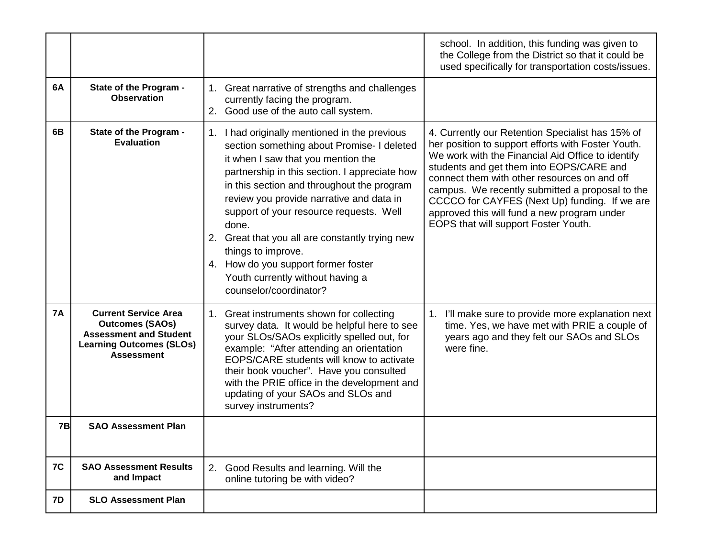|           |                                                                                                                                                |                                                                                                                                                                                                                                                                                                                                                                                                                                                                                                                | school. In addition, this funding was given to<br>the College from the District so that it could be<br>used specifically for transportation costs/issues.                                                                                                                                                                                                                                                                                          |
|-----------|------------------------------------------------------------------------------------------------------------------------------------------------|----------------------------------------------------------------------------------------------------------------------------------------------------------------------------------------------------------------------------------------------------------------------------------------------------------------------------------------------------------------------------------------------------------------------------------------------------------------------------------------------------------------|----------------------------------------------------------------------------------------------------------------------------------------------------------------------------------------------------------------------------------------------------------------------------------------------------------------------------------------------------------------------------------------------------------------------------------------------------|
| 6A        | State of the Program -<br><b>Observation</b>                                                                                                   | 1. Great narrative of strengths and challenges<br>currently facing the program.<br>2. Good use of the auto call system.                                                                                                                                                                                                                                                                                                                                                                                        |                                                                                                                                                                                                                                                                                                                                                                                                                                                    |
| 6B        | State of the Program -<br><b>Evaluation</b>                                                                                                    | 1. I had originally mentioned in the previous<br>section something about Promise- I deleted<br>it when I saw that you mention the<br>partnership in this section. I appreciate how<br>in this section and throughout the program<br>review you provide narrative and data in<br>support of your resource requests. Well<br>done.<br>2. Great that you all are constantly trying new<br>things to improve.<br>4. How do you support former foster<br>Youth currently without having a<br>counselor/coordinator? | 4. Currently our Retention Specialist has 15% of<br>her position to support efforts with Foster Youth.<br>We work with the Financial Aid Office to identify<br>students and get them into EOPS/CARE and<br>connect them with other resources on and off<br>campus. We recently submitted a proposal to the<br>CCCCO for CAYFES (Next Up) funding. If we are<br>approved this will fund a new program under<br>EOPS that will support Foster Youth. |
| <b>7A</b> | <b>Current Service Area</b><br><b>Outcomes (SAOs)</b><br><b>Assessment and Student</b><br><b>Learning Outcomes (SLOs)</b><br><b>Assessment</b> | 1. Great instruments shown for collecting<br>survey data. It would be helpful here to see<br>your SLOs/SAOs explicitly spelled out, for<br>example: "After attending an orientation<br>EOPS/CARE students will know to activate<br>their book voucher". Have you consulted<br>with the PRIE office in the development and<br>updating of your SAOs and SLOs and<br>survey instruments?                                                                                                                         | I'll make sure to provide more explanation next<br>1.<br>time. Yes, we have met with PRIE a couple of<br>years ago and they felt our SAOs and SLOs<br>were fine.                                                                                                                                                                                                                                                                                   |
| <b>7B</b> | <b>SAO Assessment Plan</b>                                                                                                                     |                                                                                                                                                                                                                                                                                                                                                                                                                                                                                                                |                                                                                                                                                                                                                                                                                                                                                                                                                                                    |
| 7C        | <b>SAO Assessment Results</b><br>and Impact                                                                                                    | 2.<br>Good Results and learning. Will the<br>online tutoring be with video?                                                                                                                                                                                                                                                                                                                                                                                                                                    |                                                                                                                                                                                                                                                                                                                                                                                                                                                    |
| 7D        | <b>SLO Assessment Plan</b>                                                                                                                     |                                                                                                                                                                                                                                                                                                                                                                                                                                                                                                                |                                                                                                                                                                                                                                                                                                                                                                                                                                                    |